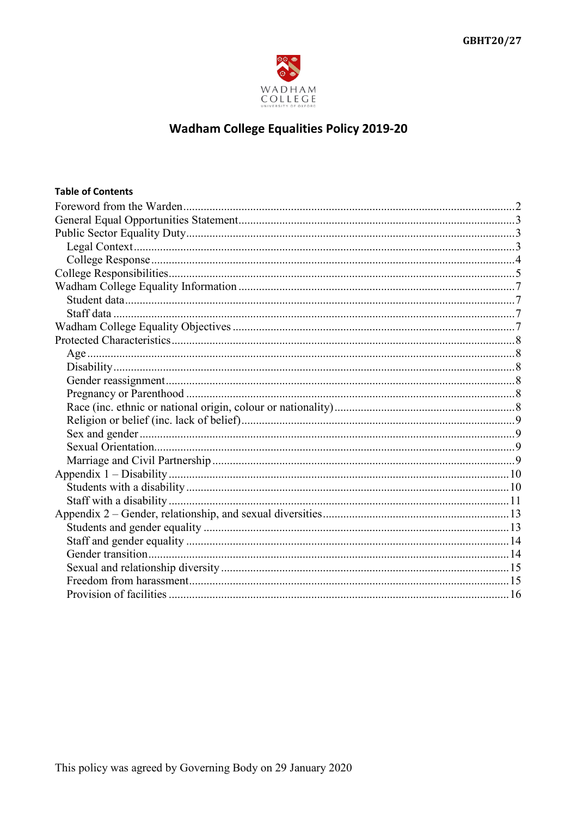

# **Wadham College Equalities Policy 2019-20**

| <b>Table of Contents</b> |  |
|--------------------------|--|
|                          |  |
|                          |  |
|                          |  |
|                          |  |
|                          |  |
|                          |  |
|                          |  |
|                          |  |
|                          |  |
|                          |  |
|                          |  |
|                          |  |
|                          |  |
|                          |  |
|                          |  |
|                          |  |
|                          |  |
|                          |  |
|                          |  |
|                          |  |
|                          |  |
|                          |  |
|                          |  |
|                          |  |
|                          |  |
|                          |  |
|                          |  |
|                          |  |
|                          |  |
|                          |  |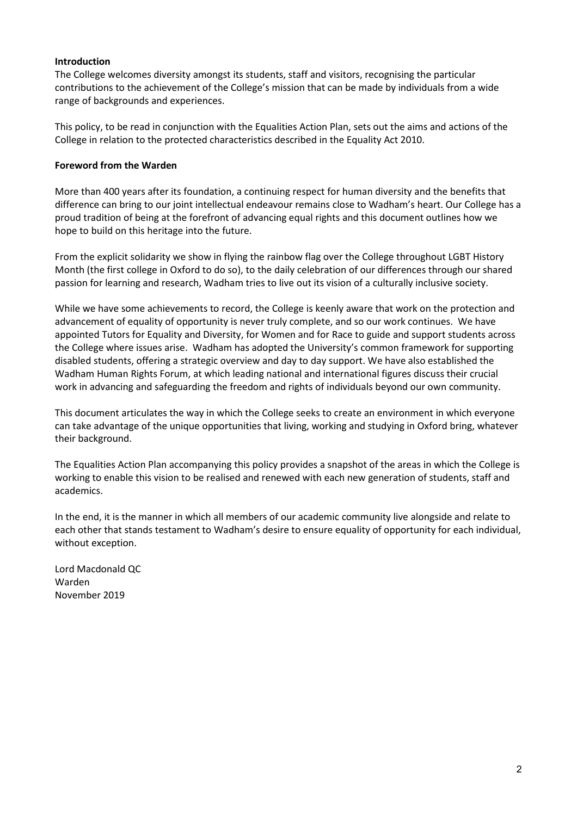## **Introduction**

The College welcomes diversity amongst its students, staff and visitors, recognising the particular contributions to the achievement of the College's mission that can be made by individuals from a wide range of backgrounds and experiences.

This policy, to be read in conjunction with the Equalities Action Plan, sets out the aims and actions of the College in relation to the protected characteristics described in the Equality Act 2010.

## <span id="page-1-0"></span>**Foreword from the Warden**

More than 400 years after its foundation, a continuing respect for human diversity and the benefits that difference can bring to our joint intellectual endeavour remains close to Wadham's heart. Our College has a proud tradition of being at the forefront of advancing equal rights and this document outlines how we hope to build on this heritage into the future.

From the explicit solidarity we show in flying the rainbow flag over the College throughout LGBT History Month (the first college in Oxford to do so), to the daily celebration of our differences through our shared passion for learning and research, Wadham tries to live out its vision of a culturally inclusive society.

While we have some achievements to record, the College is keenly aware that work on the protection and advancement of equality of opportunity is never truly complete, and so our work continues. We have appointed Tutors for Equality and Diversity, for Women and for Race to guide and support students across the College where issues arise. Wadham has adopted the University's common framework for supporting disabled students, offering a strategic overview and day to day support. We have also established the Wadham Human Rights Forum, at which leading national and international figures discuss their crucial work in advancing and safeguarding the freedom and rights of individuals beyond our own community.

This document articulates the way in which the College seeks to create an environment in which everyone can take advantage of the unique opportunities that living, working and studying in Oxford bring, whatever their background.

The Equalities Action Plan accompanying this policy provides a snapshot of the areas in which the College is working to enable this vision to be realised and renewed with each new generation of students, staff and academics.

In the end, it is the manner in which all members of our academic community live alongside and relate to each other that stands testament to Wadham's desire to ensure equality of opportunity for each individual, without exception.

Lord Macdonald QC Warden November 2019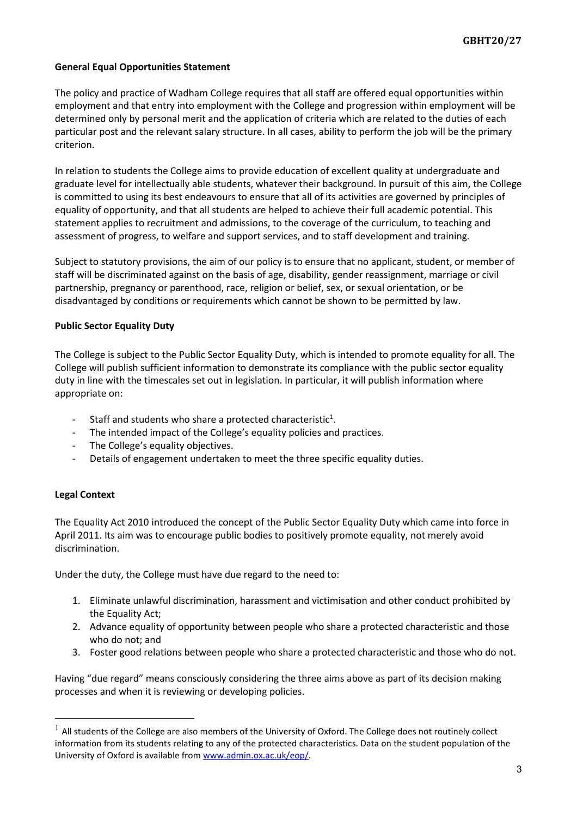## <span id="page-2-0"></span>**General Equal Opportunities Statement**

The policy and practice of Wadham College requires that all staff are offered equal opportunities within employment and that entry into employment with the College and progression within employment will be determined only by personal merit and the application of criteria which are related to the duties of each particular post and the relevant salary structure. In all cases, ability to perform the job will be the primary criterion.

In relation to students the College aims to provide education of excellent quality at undergraduate and graduate level for intellectually able students, whatever their background. In pursuit of this aim, the College is committed to using its best endeavours to ensure that all of its activities are governed by principles of equality of opportunity, and that all students are helped to achieve their full academic potential. This statement applies to recruitment and admissions, to the coverage of the curriculum, to teaching and assessment of progress, to welfare and support services, and to staff development and training.

Subject to statutory provisions, the aim of our policy is to ensure that no applicant, student, or member of staff will be discriminated against on the basis of age, disability, gender reassignment, marriage or civil partnership, pregnancy or parenthood, race, religion or belief, sex, or sexual orientation, or be disadvantaged by conditions or requirements which cannot be shown to be permitted by law.

#### <span id="page-2-1"></span>**Public Sector Equality Duty**

The College is subject to the Public Sector Equality Duty, which is intended to promote equality for all. The College will publish sufficient information to demonstrate its compliance with the public sector equality duty in line with the timescales set out in legislation. In particular, it will publish information where appropriate on:

- Staff and students who share a protected characteristic<sup>1</sup>.
- The intended impact of the College's equality policies and practices.
- The College's equality objectives.
- Details of engagement undertaken to meet the three specific equality duties.

#### <span id="page-2-2"></span>**Legal Context**

The Equality Act 2010 introduced the concept of the Public Sector Equality Duty which came into force in April 2011. Its aim was to encourage public bodies to positively promote equality, not merely avoid discrimination.

Under the duty, the College must have due regard to the need to:

- 1. Eliminate unlawful discrimination, harassment and victimisation and other conduct prohibited by the Equality Act;
- 2. Advance equality of opportunity between people who share a protected characteristic and those who do not; and
- 3. Foster good relations between people who share a protected characteristic and those who do not.

Having "due regard" means consciously considering the three aims above as part of its decision making processes and when it is reviewing or developing policies.

 $1$  All students of the College are also members of the University of Oxford. The College does not routinely collect information from its students relating to any of the protected characteristics. Data on the student population of the University of Oxford is available fro[m www.admin.ox.ac.uk/eop/.](http://www.admin.ox.ac.uk/eop/)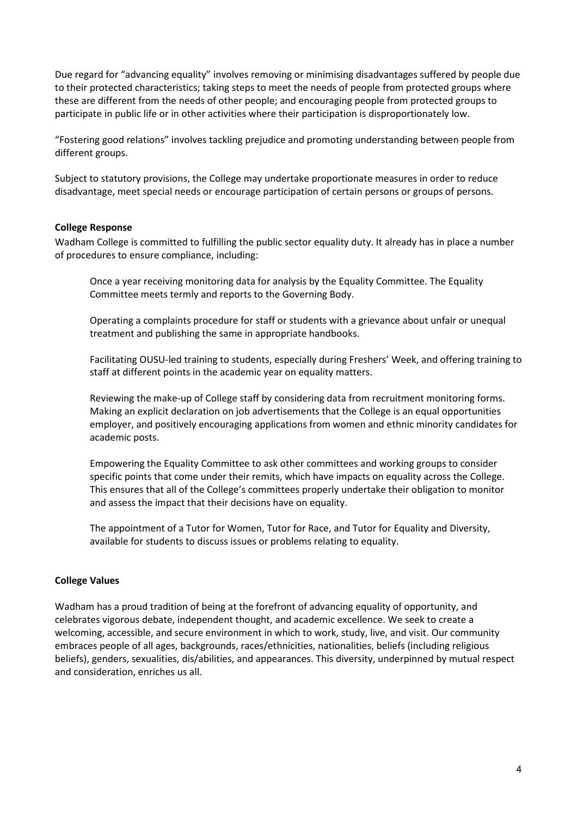Due regard for "advancing equality" involves removing or minimising disadvantages suffered by people due to their protected characteristics; taking steps to meet the needs of people from protected groups where these are different from the needs of other people; and encouraging people from protected groups to participate in public life or in other activities where their participation is disproportionately low.

"Fostering good relations" involves tackling prejudice and promoting understanding between people from different groups.

Subject to statutory provisions, the College may undertake proportionate measures in order to reduce disadvantage, meet special needs or encourage participation of certain persons or groups of persons.

#### <span id="page-3-0"></span>**College Response**

Wadham College is committed to fulfilling the public sector equality duty. It already has in place a number of procedures to ensure compliance, including:

Once a year receiving monitoring data for analysis by the Equality Committee. The Equality Committee meets termly and reports to the Governing Body.

Operating a complaints procedure for staff or students with a grievance about unfair or unequal treatment and publishing the same in appropriate handbooks.

Facilitating OUSU-led training to students, especially during Freshers' Week, and offering training to staff at different points in the academic year on equality matters.

Reviewing the make-up of College staff by considering data from recruitment monitoring forms. Making an explicit declaration on job advertisements that the College is an equal opportunities employer, and positively encouraging applications from women and ethnic minority candidates for academic posts.

Empowering the Equality Committee to ask other committees and working groups to consider specific points that come under their remits, which have impacts on equality across the College. This ensures that all of the College's committees properly undertake their obligation to monitor and assess the impact that their decisions have on equality.

The appointment of a Tutor for Women, Tutor for Race, and Tutor for Equality and Diversity, available for students to discuss issues or problems relating to equality.

#### **College Values**

Wadham has a proud tradition of being at the forefront of advancing equality of opportunity, and celebrates vigorous debate, independent thought, and academic excellence. We seek to create a welcoming, accessible, and secure environment in which to work, study, live, and visit. Our community embraces people of all ages, backgrounds, races/ethnicities, nationalities, beliefs (including religious beliefs), genders, sexualities, dis/abilities, and appearances. This diversity, underpinned by mutual respect and consideration, enriches us all.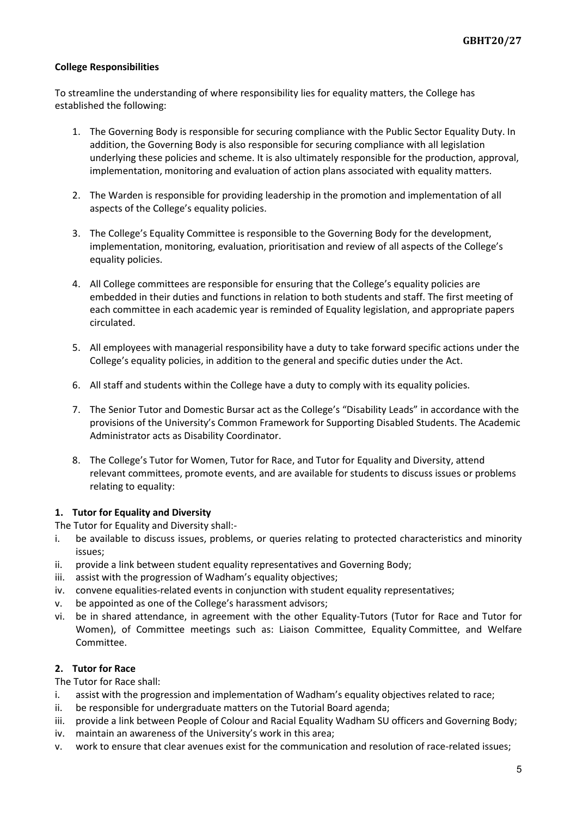## <span id="page-4-0"></span>**College Responsibilities**

To streamline the understanding of where responsibility lies for equality matters, the College has established the following:

- 1. The Governing Body is responsible for securing compliance with the Public Sector Equality Duty. In addition, the Governing Body is also responsible for securing compliance with all legislation underlying these policies and scheme. It is also ultimately responsible for the production, approval, implementation, monitoring and evaluation of action plans associated with equality matters.
- 2. The Warden is responsible for providing leadership in the promotion and implementation of all aspects of the College's equality policies.
- 3. The College's Equality Committee is responsible to the Governing Body for the development, implementation, monitoring, evaluation, prioritisation and review of all aspects of the College's equality policies.
- 4. All College committees are responsible for ensuring that the College's equality policies are embedded in their duties and functions in relation to both students and staff. The first meeting of each committee in each academic year is reminded of Equality legislation, and appropriate papers circulated.
- 5. All employees with managerial responsibility have a duty to take forward specific actions under the College's equality policies, in addition to the general and specific duties under the Act.
- 6. All staff and students within the College have a duty to comply with its equality policies.
- 7. The Senior Tutor and Domestic Bursar act as the College's "Disability Leads" in accordance with the provisions of the University's Common Framework for Supporting Disabled Students. The Academic Administrator acts as Disability Coordinator.
- 8. The College's Tutor for Women, Tutor for Race, and Tutor for Equality and Diversity, attend relevant committees, promote events, and are available for students to discuss issues or problems relating to equality:

# **1. Tutor for Equality and Diversity**

The Tutor for Equality and Diversity shall:-

- i. be available to discuss issues, problems, or queries relating to protected characteristics and minority issues;
- ii. provide a link between student equality representatives and Governing Body;
- iii. assist with the progression of Wadham's equality objectives;
- iv. convene equalities-related events in conjunction with student equality representatives;
- v. be appointed as one of the College's harassment advisors;
- vi. be in shared attendance, in agreement with the other Equality-Tutors (Tutor for Race and Tutor for Women), of Committee meetings such as: Liaison Committee, Equality Committee, and Welfare Committee.

## **2. Tutor for Race**

The Tutor for Race shall:

- i. assist with the progression and implementation of Wadham's equality objectives related to race;
- ii. be responsible for undergraduate matters on the Tutorial Board agenda;
- iii. provide a link between People of Colour and Racial Equality Wadham SU officers and Governing Body;
- iv. maintain an awareness of the University's work in this area;
- v. work to ensure that clear avenues exist for the communication and resolution of race-related issues;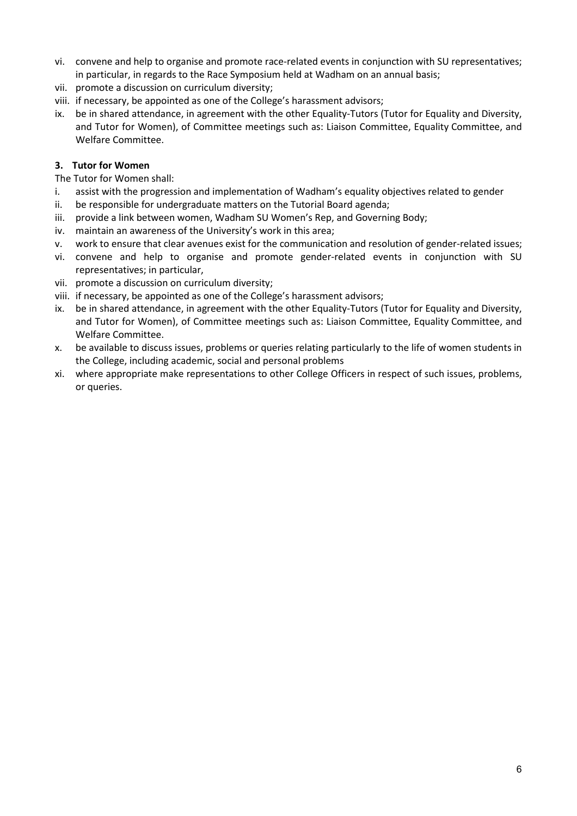- vi. convene and help to organise and promote race-related events in conjunction with SU representatives; in particular, in regards to the Race Symposium held at Wadham on an annual basis;
- vii. promote a discussion on curriculum diversity;
- viii. if necessary, be appointed as one of the College's harassment advisors;
- ix. be in shared attendance, in agreement with the other Equality-Tutors (Tutor for Equality and Diversity, and Tutor for Women), of Committee meetings such as: Liaison Committee, Equality Committee, and Welfare Committee.

## **3. Tutor for Women**

The Tutor for Women shall:

- i. assist with the progression and implementation of Wadham's equality objectives related to gender
- ii. be responsible for undergraduate matters on the Tutorial Board agenda;
- iii. provide a link between women, Wadham SU Women's Rep, and Governing Body;
- iv. maintain an awareness of the University's work in this area;
- v. work to ensure that clear avenues exist for the communication and resolution of gender-related issues;
- vi. convene and help to organise and promote gender-related events in conjunction with SU representatives; in particular,
- vii. promote a discussion on curriculum diversity;
- viii. if necessary, be appointed as one of the College's harassment advisors;
- ix. be in shared attendance, in agreement with the other Equality-Tutors (Tutor for Equality and Diversity, and Tutor for Women), of Committee meetings such as: Liaison Committee, Equality Committee, and Welfare Committee.
- x. be available to discuss issues, problems or queries relating particularly to the life of women students in the College, including academic, social and personal problems
- xi. where appropriate make representations to other College Officers in respect of such issues, problems, or queries.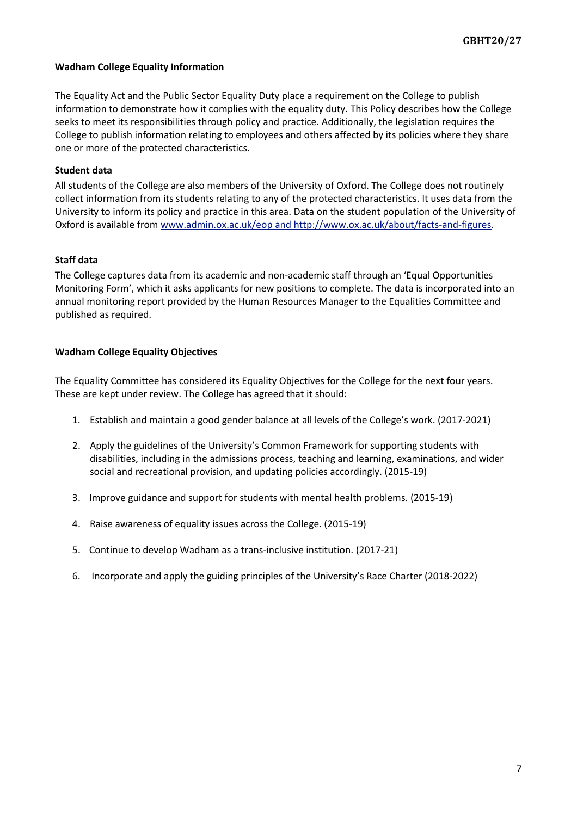#### <span id="page-6-0"></span>**Wadham College Equality Information**

The Equality Act and the Public Sector Equality Duty place a requirement on the College to publish information to demonstrate how it complies with the equality duty. This Policy describes how the College seeks to meet its responsibilities through policy and practice. Additionally, the legislation requires the College to publish information relating to employees and others affected by its policies where they share one or more of the protected characteristics.

#### <span id="page-6-1"></span>**Student data**

All students of the College are also members of the University of Oxford. The College does not routinely collect information from its students relating to any of the protected characteristics. It uses data from the University to inform its policy and practice in this area. Data on the student population of the University of Oxford is available fro[m www.admin.ox.ac.uk/eop](http://www.admin.ox.ac.uk/eop) and http://www.ox.ac.uk/about/facts-and-figures.

#### <span id="page-6-2"></span>**Staff data**

The College captures data from its academic and non-academic staff through an 'Equal Opportunities Monitoring Form', which it asks applicants for new positions to complete. The data is incorporated into an annual monitoring report provided by the Human Resources Manager to the Equalities Committee and published as required.

#### <span id="page-6-3"></span>**Wadham College Equality Objectives**

The Equality Committee has considered its Equality Objectives for the College for the next four years. These are kept under review. The College has agreed that it should:

- 1. Establish and maintain a good gender balance at all levels of the College's work. (2017-2021)
- 2. Apply the guidelines of the University's Common Framework for supporting students with disabilities, including in the admissions process, teaching and learning, examinations, and wider social and recreational provision, and updating policies accordingly. (2015-19)
- 3. Improve guidance and support for students with mental health problems. (2015-19)
- 4. Raise awareness of equality issues across the College. (2015-19)
- 5. Continue to develop Wadham as a trans-inclusive institution. (2017-21)
- 6. Incorporate and apply the guiding principles of the University's Race Charter (2018-2022)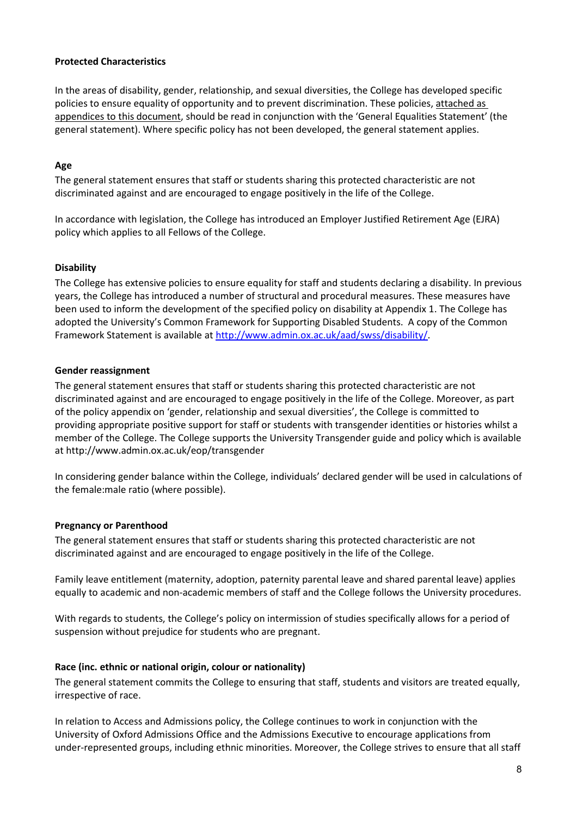## <span id="page-7-0"></span>**Protected Characteristics**

In the areas of disability, gender, relationship, and sexual diversities, the College has developed specific policies to ensure equality of opportunity and to prevent discrimination. These policies, attached as appendices to this document, should be read in conjunction with the 'General Equalities Statement' (the general statement). Where specific policy has not been developed, the general statement applies.

## <span id="page-7-1"></span>**Age**

The general statement ensures that staff or students sharing this protected characteristic are not discriminated against and are encouraged to engage positively in the life of the College.

In accordance with legislation, the College has introduced an Employer Justified Retirement Age (EJRA) policy which applies to all Fellows of the College.

## <span id="page-7-2"></span>**Disability**

The College has extensive policies to ensure equality for staff and students declaring a disability. In previous years, the College has introduced a number of structural and procedural measures. These measures have been used to inform the development of the specified policy on disability at Appendix 1. The College has adopted the University's Common Framework for Supporting Disabled Students. A copy of the Common Framework Statement is available at http://www.admin.ox.ac.uk/aad/swss/disability/.

#### <span id="page-7-3"></span>**Gender reassignment**

The general statement ensures that staff or students sharing this protected characteristic are not discriminated against and are encouraged to engage positively in the life of the College. Moreover, as part of the policy appendix on 'gender, relationship and sexual diversities', the College is committed to providing appropriate positive support for staff or students with transgender identities or histories whilst a member of the College. The College supports the University Transgender guide and policy which is available at http://www.admin.ox.ac.uk/eop/transgender

In considering gender balance within the College, individuals' declared gender will be used in calculations of the female:male ratio (where possible).

# <span id="page-7-4"></span>**Pregnancy or Parenthood**

The general statement ensures that staff or students sharing this protected characteristic are not discriminated against and are encouraged to engage positively in the life of the College.

Family leave entitlement (maternity, adoption, paternity parental leave and shared parental leave) applies equally to academic and non-academic members of staff and the College follows the University procedures.

With regards to students, the College's policy on intermission of studies specifically allows for a period of suspension without prejudice for students who are pregnant.

#### <span id="page-7-5"></span>**Race (inc. ethnic or national origin, colour or nationality)**

The general statement commits the College to ensuring that staff, students and visitors are treated equally, irrespective of race.

In relation to Access and Admissions policy, the College continues to work in conjunction with the University of Oxford Admissions Office and the Admissions Executive to encourage applications from under-represented groups, including ethnic minorities. Moreover, the College strives to ensure that all staff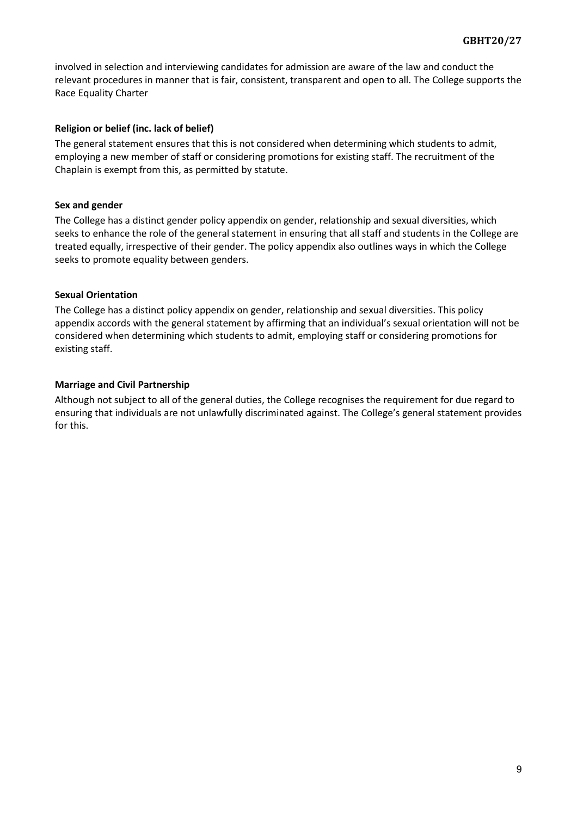involved in selection and interviewing candidates for admission are aware of the law and conduct the relevant procedures in manner that is fair, consistent, transparent and open to all. The College supports the Race Equality Charter

#### <span id="page-8-0"></span>**Religion or belief (inc. lack of belief)**

The general statement ensures that this is not considered when determining which students to admit, employing a new member of staff or considering promotions for existing staff. The recruitment of the Chaplain is exempt from this, as permitted by statute.

#### <span id="page-8-1"></span>**Sex and gender**

The College has a distinct gender policy appendix on gender, relationship and sexual diversities, which seeks to enhance the role of the general statement in ensuring that all staff and students in the College are treated equally, irrespective of their gender. The policy appendix also outlines ways in which the College seeks to promote equality between genders.

## <span id="page-8-2"></span>**Sexual Orientation**

The College has a distinct policy appendix on gender, relationship and sexual diversities. This policy appendix accords with the general statement by affirming that an individual's sexual orientation will not be considered when determining which students to admit, employing staff or considering promotions for existing staff.

# <span id="page-8-3"></span>**Marriage and Civil Partnership**

Although not subject to all of the general duties, the College recognises the requirement for due regard to ensuring that individuals are not unlawfully discriminated against. The College's general statement provides for this.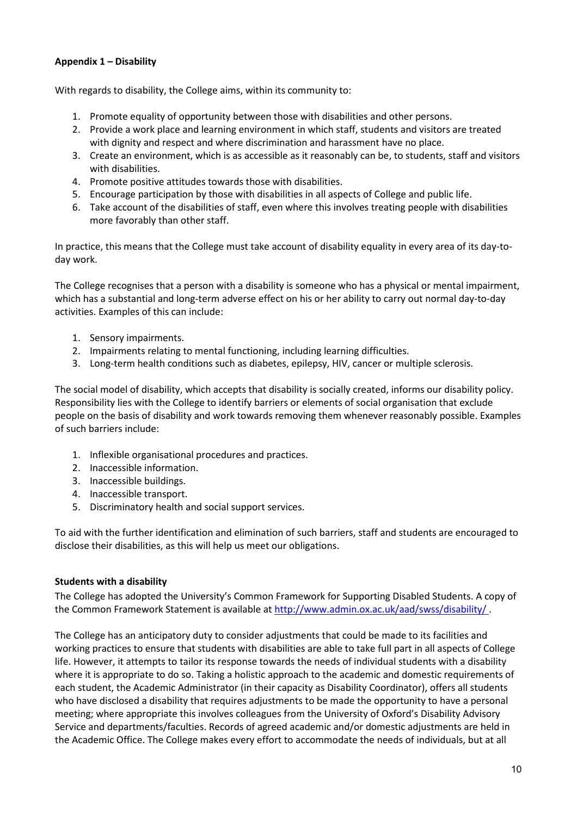# <span id="page-9-0"></span>**Appendix 1 – Disability**

With regards to disability, the College aims, within its community to:

- 1. Promote equality of opportunity between those with disabilities and other persons.
- 2. Provide a work place and learning environment in which staff, students and visitors are treated with dignity and respect and where discrimination and harassment have no place.
- 3. Create an environment, which is as accessible as it reasonably can be, to students, staff and visitors with disabilities.
- 4. Promote positive attitudes towards those with disabilities.
- 5. Encourage participation by those with disabilities in all aspects of College and public life.
- 6. Take account of the disabilities of staff, even where this involves treating people with disabilities more favorably than other staff.

In practice, this means that the College must take account of disability equality in every area of its day-today work.

The College recognises that a person with a disability is someone who has a physical or mental impairment, which has a substantial and long-term adverse effect on his or her ability to carry out normal day-to-day activities. Examples of this can include:

- 1. Sensory impairments.
- 2. Impairments relating to mental functioning, including learning difficulties.
- 3. Long-term health conditions such as diabetes, epilepsy, HIV, cancer or multiple sclerosis.

The social model of disability, which accepts that disability is socially created, informs our disability policy. Responsibility lies with the College to identify barriers or elements of social organisation that exclude people on the basis of disability and work towards removing them whenever reasonably possible. Examples of such barriers include:

- 1. Inflexible organisational procedures and practices.
- 2. Inaccessible information.
- 3. Inaccessible buildings.
- 4. Inaccessible transport.
- 5. Discriminatory health and social support services.

To aid with the further identification and elimination of such barriers, staff and students are encouraged to disclose their disabilities, as this will help us meet our obligations.

#### <span id="page-9-1"></span>**Students with a disability**

The College has adopted the University's Common Framework for Supporting Disabled Students. A copy of the Common Framework Statement is available at<http://www.admin.ox.ac.uk/aad/swss/disability/> .

The College has an anticipatory duty to consider adjustments that could be made to its facilities and working practices to ensure that students with disabilities are able to take full part in all aspects of College life. However, it attempts to tailor its response towards the needs of individual students with a disability where it is appropriate to do so. Taking a holistic approach to the academic and domestic requirements of each student, the Academic Administrator (in their capacity as Disability Coordinator), offers all students who have disclosed a disability that requires adjustments to be made the opportunity to have a personal meeting; where appropriate this involves colleagues from the University of Oxford's Disability Advisory Service and departments/faculties. Records of agreed academic and/or domestic adjustments are held in the Academic Office. The College makes every effort to accommodate the needs of individuals, but at all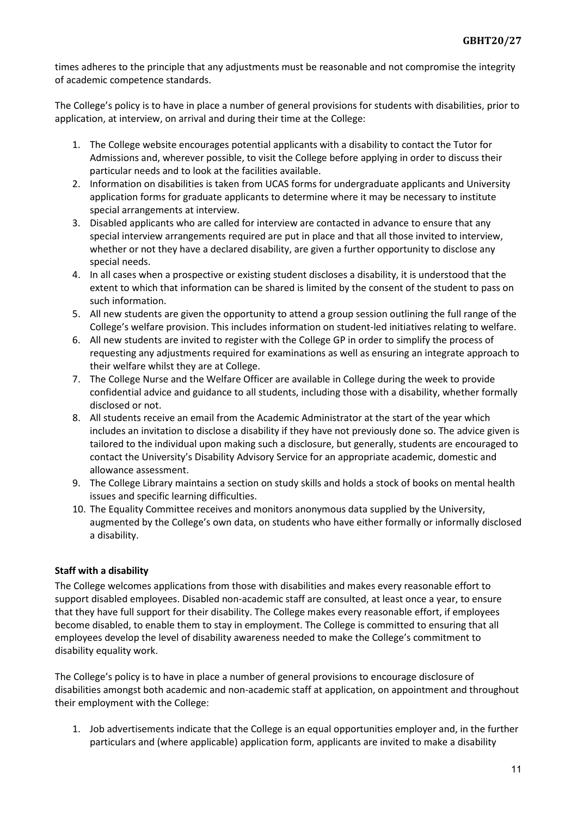times adheres to the principle that any adjustments must be reasonable and not compromise the integrity of academic competence standards.

The College's policy is to have in place a number of general provisions for students with disabilities, prior to application, at interview, on arrival and during their time at the College:

- 1. The College website encourages potential applicants with a disability to contact the Tutor for Admissions and, wherever possible, to visit the College before applying in order to discuss their particular needs and to look at the facilities available.
- 2. Information on disabilities is taken from UCAS forms for undergraduate applicants and University application forms for graduate applicants to determine where it may be necessary to institute special arrangements at interview.
- 3. Disabled applicants who are called for interview are contacted in advance to ensure that any special interview arrangements required are put in place and that all those invited to interview, whether or not they have a declared disability, are given a further opportunity to disclose any special needs.
- 4. In all cases when a prospective or existing student discloses a disability, it is understood that the extent to which that information can be shared is limited by the consent of the student to pass on such information.
- 5. All new students are given the opportunity to attend a group session outlining the full range of the College's welfare provision. This includes information on student-led initiatives relating to welfare.
- 6. All new students are invited to register with the College GP in order to simplify the process of requesting any adjustments required for examinations as well as ensuring an integrate approach to their welfare whilst they are at College.
- 7. The College Nurse and the Welfare Officer are available in College during the week to provide confidential advice and guidance to all students, including those with a disability, whether formally disclosed or not.
- 8. All students receive an email from the Academic Administrator at the start of the year which includes an invitation to disclose a disability if they have not previously done so. The advice given is tailored to the individual upon making such a disclosure, but generally, students are encouraged to contact the University's Disability Advisory Service for an appropriate academic, domestic and allowance assessment.
- 9. The College Library maintains a section on study skills and holds a stock of books on mental health issues and specific learning difficulties.
- 10. The Equality Committee receives and monitors anonymous data supplied by the University, augmented by the College's own data, on students who have either formally or informally disclosed a disability.

# <span id="page-10-0"></span>**Staff with a disability**

The College welcomes applications from those with disabilities and makes every reasonable effort to support disabled employees. Disabled non-academic staff are consulted, at least once a year, to ensure that they have full support for their disability. The College makes every reasonable effort, if employees become disabled, to enable them to stay in employment. The College is committed to ensuring that all employees develop the level of disability awareness needed to make the College's commitment to disability equality work.

The College's policy is to have in place a number of general provisions to encourage disclosure of disabilities amongst both academic and non-academic staff at application, on appointment and throughout their employment with the College:

1. Job advertisements indicate that the College is an equal opportunities employer and, in the further particulars and (where applicable) application form, applicants are invited to make a disability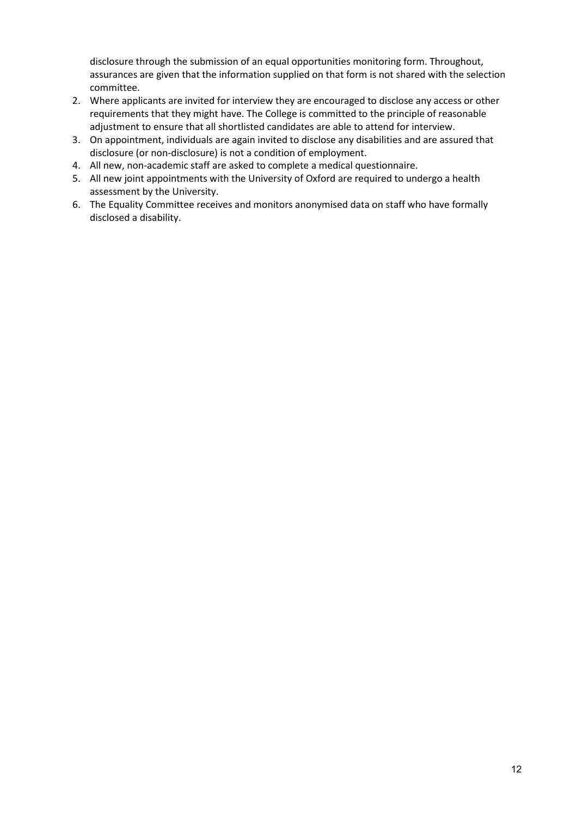disclosure through the submission of an equal opportunities monitoring form. Throughout, assurances are given that the information supplied on that form is not shared with the selection committee.

- 2. Where applicants are invited for interview they are encouraged to disclose any access or other requirements that they might have. The College is committed to the principle of reasonable adjustment to ensure that all shortlisted candidates are able to attend for interview.
- 3. On appointment, individuals are again invited to disclose any disabilities and are assured that disclosure (or non-disclosure) is not a condition of employment.
- 4. All new, non-academic staff are asked to complete a medical questionnaire.
- 5. All new joint appointments with the University of Oxford are required to undergo a health assessment by the University.
- 6. The Equality Committee receives and monitors anonymised data on staff who have formally disclosed a disability.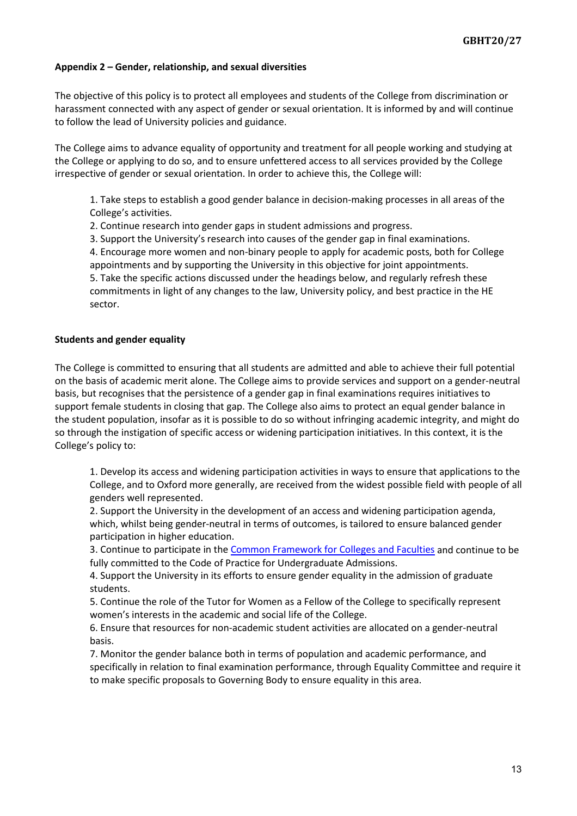#### <span id="page-12-0"></span>**Appendix 2 – Gender, relationship, and sexual diversities**

The objective of this policy is to protect all employees and students of the College from discrimination or harassment connected with any aspect of gender or sexual orientation. It is informed by and will continue to follow the lead of University policies and guidance.

The College aims to advance equality of opportunity and treatment for all people working and studying at the College or applying to do so, and to ensure unfettered access to all services provided by the College irrespective of gender or sexual orientation. In order to achieve this, the College will:

1. Take steps to establish a good gender balance in decision-making processes in all areas of the College's activities.

2. Continue research into gender gaps in student admissions and progress.

3. Support the University's research into causes of the gender gap in final examinations.

4. Encourage more women and non-binary people to apply for academic posts, both for College appointments and by supporting the University in this objective for joint appointments.

5. Take the specific actions discussed under the headings below, and regularly refresh these commitments in light of any changes to the law, University policy, and best practice in the HE sector.

#### <span id="page-12-1"></span>**Students and gender equality**

The College is committed to ensuring that all students are admitted and able to achieve their full potential on the basis of academic merit alone. The College aims to provide services and support on a gender-neutral basis, but recognises that the persistence of a gender gap in final examinations requires initiatives to support female students in closing that gap. The College also aims to protect an equal gender balance in the student population, insofar as it is possible to do so without infringing academic integrity, and might do so through the instigation of specific access or widening participation initiatives. In this context, it is the College's policy to:

1. Develop its access and widening participation activities in ways to ensure that applications to the College, and to Oxford more generally, are received from the widest possible field with people of all genders well represented.

2. Support the University in the development of an access and widening participation agenda, which, whilst being gender-neutral in terms of outcomes, is tailored to ensure balanced gender participation in higher education.

3. Continue to participate in the [Common Framework for Colleges and Faculties](https://www.ox.ac.uk/admissions/undergraduate/applying-to-oxford/decisions/common-framework?wssl=1) and continue to be fully committed to the Code of Practice for Undergraduate Admissions.

4. Support the University in its efforts to ensure gender equality in the admission of graduate students.

5. Continue the role of the Tutor for Women as a Fellow of the College to specifically represent women's interests in the academic and social life of the College.

6. Ensure that resources for non-academic student activities are allocated on a gender-neutral basis.

7. Monitor the gender balance both in terms of population and academic performance, and specifically in relation to final examination performance, through Equality Committee and require it to make specific proposals to Governing Body to ensure equality in this area.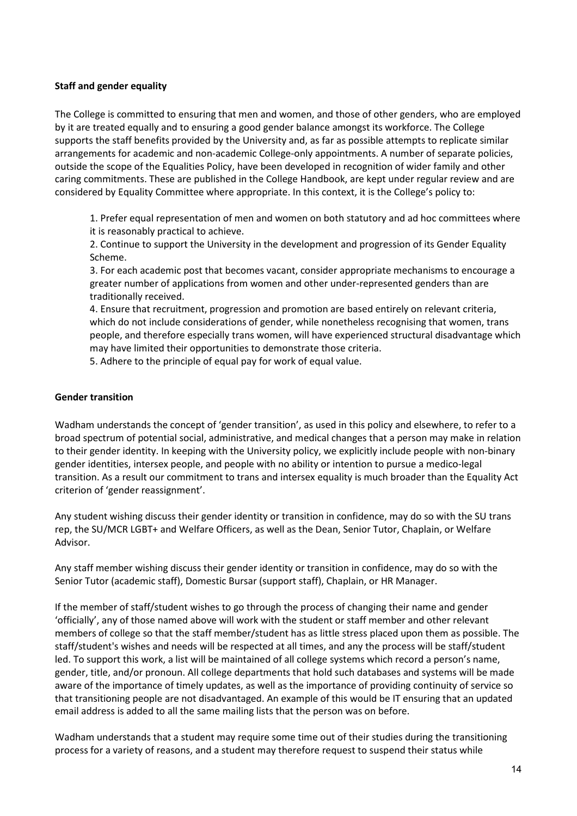## <span id="page-13-0"></span>**Staff and gender equality**

The College is committed to ensuring that men and women, and those of other genders, who are employed by it are treated equally and to ensuring a good gender balance amongst its workforce. The College supports the staff benefits provided by the University and, as far as possible attempts to replicate similar arrangements for academic and non-academic College-only appointments. A number of separate policies, outside the scope of the Equalities Policy, have been developed in recognition of wider family and other caring commitments. These are published in the College Handbook, are kept under regular review and are considered by Equality Committee where appropriate. In this context, it is the College's policy to:

1. Prefer equal representation of men and women on both statutory and ad hoc committees where it is reasonably practical to achieve.

2. Continue to support the University in the development and progression of its Gender Equality Scheme.

3. For each academic post that becomes vacant, consider appropriate mechanisms to encourage a greater number of applications from women and other under-represented genders than are traditionally received.

4. Ensure that recruitment, progression and promotion are based entirely on relevant criteria, which do not include considerations of gender, while nonetheless recognising that women, trans people, and therefore especially trans women, will have experienced structural disadvantage which may have limited their opportunities to demonstrate those criteria.

5. Adhere to the principle of equal pay for work of equal value.

## <span id="page-13-1"></span>**Gender transition**

Wadham understands the concept of 'gender transition', as used in this policy and elsewhere, to refer to a broad spectrum of potential social, administrative, and medical changes that a person may make in relation to their gender identity. In keeping with the University policy, we explicitly include people with non-binary gender identities, intersex people, and people with no ability or intention to pursue a medico-legal transition. As a result our commitment to trans and intersex equality is much broader than the Equality Act criterion of 'gender reassignment'.

Any student wishing discuss their gender identity or transition in confidence, may do so with the SU trans rep, the SU/MCR LGBT+ and Welfare Officers, as well as the Dean, Senior Tutor, Chaplain, or Welfare Advisor.

Any staff member wishing discuss their gender identity or transition in confidence, may do so with the Senior Tutor (academic staff), Domestic Bursar (support staff), Chaplain, or HR Manager.

If the member of staff/student wishes to go through the process of changing their name and gender 'officially', any of those named above will work with the student or staff member and other relevant members of college so that the staff member/student has as little stress placed upon them as possible. The staff/student's wishes and needs will be respected at all times, and any the process will be staff/student led. To support this work, a list will be maintained of all college systems which record a person's name, gender, title, and/or pronoun. All college departments that hold such databases and systems will be made aware of the importance of timely updates, as well as the importance of providing continuity of service so that transitioning people are not disadvantaged. An example of this would be IT ensuring that an updated email address is added to all the same mailing lists that the person was on before.

Wadham understands that a student may require some time out of their studies during the transitioning process for a variety of reasons, and a student may therefore request to suspend their status while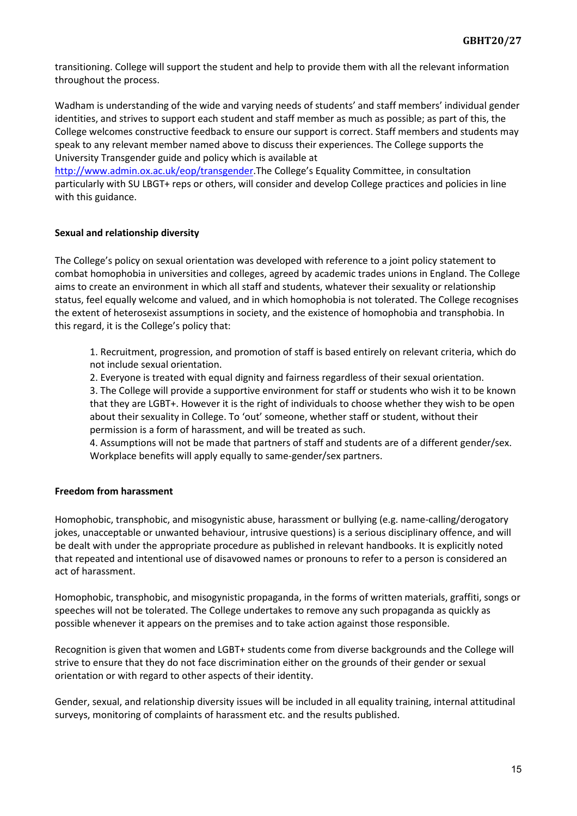transitioning. College will support the student and help to provide them with all the relevant information throughout the process.

Wadham is understanding of the wide and varying needs of students' and staff members' individual gender identities, and strives to support each student and staff member as much as possible; as part of this, the College welcomes constructive feedback to ensure our support is correct. Staff members and students may speak to any relevant member named above to discuss their experiences. The College supports the University Transgender guide and policy which is available at

[http://www.admin.ox.ac.uk/eop/transgender.](http://www.admin.ox.ac.uk/eop/transgender)The College's Equality Committee, in consultation particularly with SU LBGT+ reps or others, will consider and develop College practices and policies in line with this guidance.

## <span id="page-14-0"></span>**Sexual and relationship diversity**

The College's policy on sexual orientation was developed with reference to a joint policy statement to combat homophobia in universities and colleges, agreed by academic trades unions in England. The College aims to create an environment in which all staff and students, whatever their sexuality or relationship status, feel equally welcome and valued, and in which homophobia is not tolerated. The College recognises the extent of heterosexist assumptions in society, and the existence of homophobia and transphobia. In this regard, it is the College's policy that:

1. Recruitment, progression, and promotion of staff is based entirely on relevant criteria, which do not include sexual orientation.

2. Everyone is treated with equal dignity and fairness regardless of their sexual orientation. 3. The College will provide a supportive environment for staff or students who wish it to be known that they are LGBT+. However it is the right of individuals to choose whether they wish to be open about their sexuality in College. To 'out' someone, whether staff or student, without their permission is a form of harassment, and will be treated as such.

4. Assumptions will not be made that partners of staff and students are of a different gender/sex. Workplace benefits will apply equally to same-gender/sex partners.

# <span id="page-14-1"></span>**Freedom from harassment**

Homophobic, transphobic, and misogynistic abuse, harassment or bullying (e.g. name-calling/derogatory jokes, unacceptable or unwanted behaviour, intrusive questions) is a serious disciplinary offence, and will be dealt with under the appropriate procedure as published in relevant handbooks. It is explicitly noted that repeated and intentional use of disavowed names or pronouns to refer to a person is considered an act of harassment.

Homophobic, transphobic, and misogynistic propaganda, in the forms of written materials, graffiti, songs or speeches will not be tolerated. The College undertakes to remove any such propaganda as quickly as possible whenever it appears on the premises and to take action against those responsible.

Recognition is given that women and LGBT+ students come from diverse backgrounds and the College will strive to ensure that they do not face discrimination either on the grounds of their gender or sexual orientation or with regard to other aspects of their identity.

Gender, sexual, and relationship diversity issues will be included in all equality training, internal attitudinal surveys, monitoring of complaints of harassment etc. and the results published.